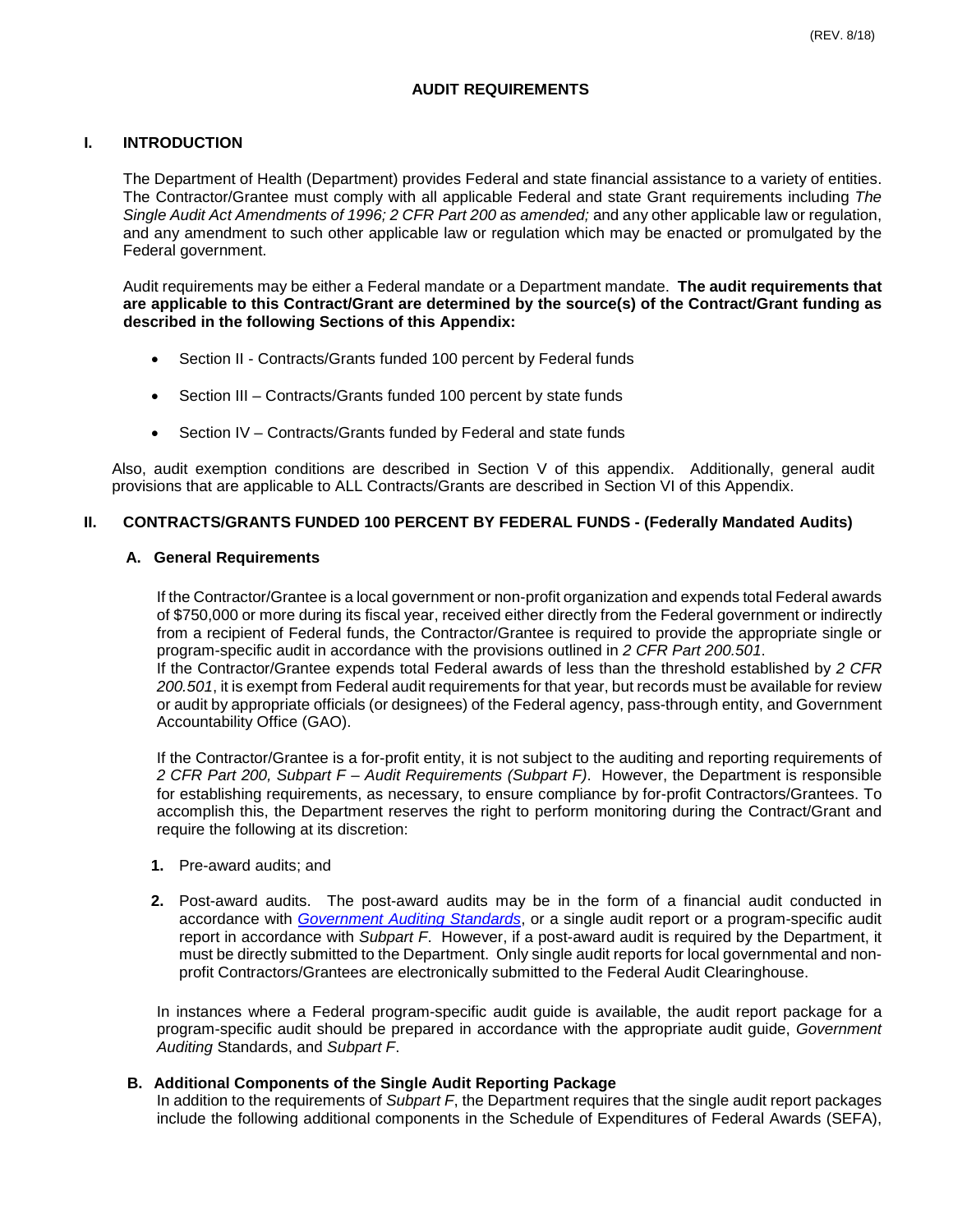# **AUDIT REQUIREMENTS**

### **I. INTRODUCTION**

The Department of Health (Department) provides Federal and state financial assistance to a variety of entities. The Contractor/Grantee must comply with all applicable Federal and state Grant requirements including *The Single Audit Act Amendments of 1996; 2 CFR Part 200 as amended;* and any other applicable law or regulation, and any amendment to such other applicable law or regulation which may be enacted or promulgated by the Federal government.

Audit requirements may be either a Federal mandate or a Department mandate. **The audit requirements that are applicable to this Contract/Grant are determined by the source(s) of the Contract/Grant funding as described in the following Sections of this Appendix:**

- Section II Contracts/Grants funded 100 percent by Federal funds
- Section III Contracts/Grants funded 100 percent by state funds
- Section IV Contracts/Grants funded by Federal and state funds

Also, audit exemption conditions are described in Section V of this appendix. Additionally, general audit provisions that are applicable to ALL Contracts/Grants are described in Section VI of this Appendix.

### **II. CONTRACTS/GRANTS FUNDED 100 PERCENT BY FEDERAL FUNDS - (Federally Mandated Audits)**

### **A. General Requirements**

If the Contractor/Grantee is a local government or non-profit organization and expends total Federal awards of \$750,000 or more during its fiscal year, received either directly from the Federal government or indirectly from a recipient of Federal funds, the Contractor/Grantee is required to provide the appropriate single or program-specific audit in accordance with the provisions outlined in *2 CFR Part 200.501*. If the Contractor/Grantee expends total Federal awards of less than the threshold established by *2 CFR 200.501*, it is exempt from Federal audit requirements for that year, but records must be available for review or audit by appropriate officials (or designees) of the Federal agency, pass-through entity, and Government Accountability Office (GAO).

If the Contractor/Grantee is a for-profit entity, it is not subject to the auditing and reporting requirements of *2 CFR Part 200, Subpart F – Audit Requirements (Subpart F)*. However, the Department is responsible for establishing requirements, as necessary, to ensure compliance by for-profit Contractors/Grantees. To accomplish this, the Department reserves the right to perform monitoring during the Contract/Grant and require the following at its discretion:

- **1.** Pre-award audits; and
- **2.** Post-award audits. The post-award audits may be in the form of a financial audit conducted in accordance with *[Government Auditing Standards](http://www.gao.gov/yellowbook/overview)*, or a single audit report or a program-specific audit report in accordance with *Subpart F*. However, if a post-award audit is required by the Department, it must be directly submitted to the Department. Only single audit reports for local governmental and nonprofit Contractors/Grantees are electronically submitted to the Federal Audit Clearinghouse.

In instances where a Federal program-specific audit guide is available, the audit report package for a program-specific audit should be prepared in accordance with the appropriate audit guide, *Government Auditing* Standards, and *Subpart F*.

### **B. Additional Components of the Single Audit Reporting Package**

In addition to the requirements of *Subpart F*, the Department requires that the single audit report packages include the following additional components in the Schedule of Expenditures of Federal Awards (SEFA),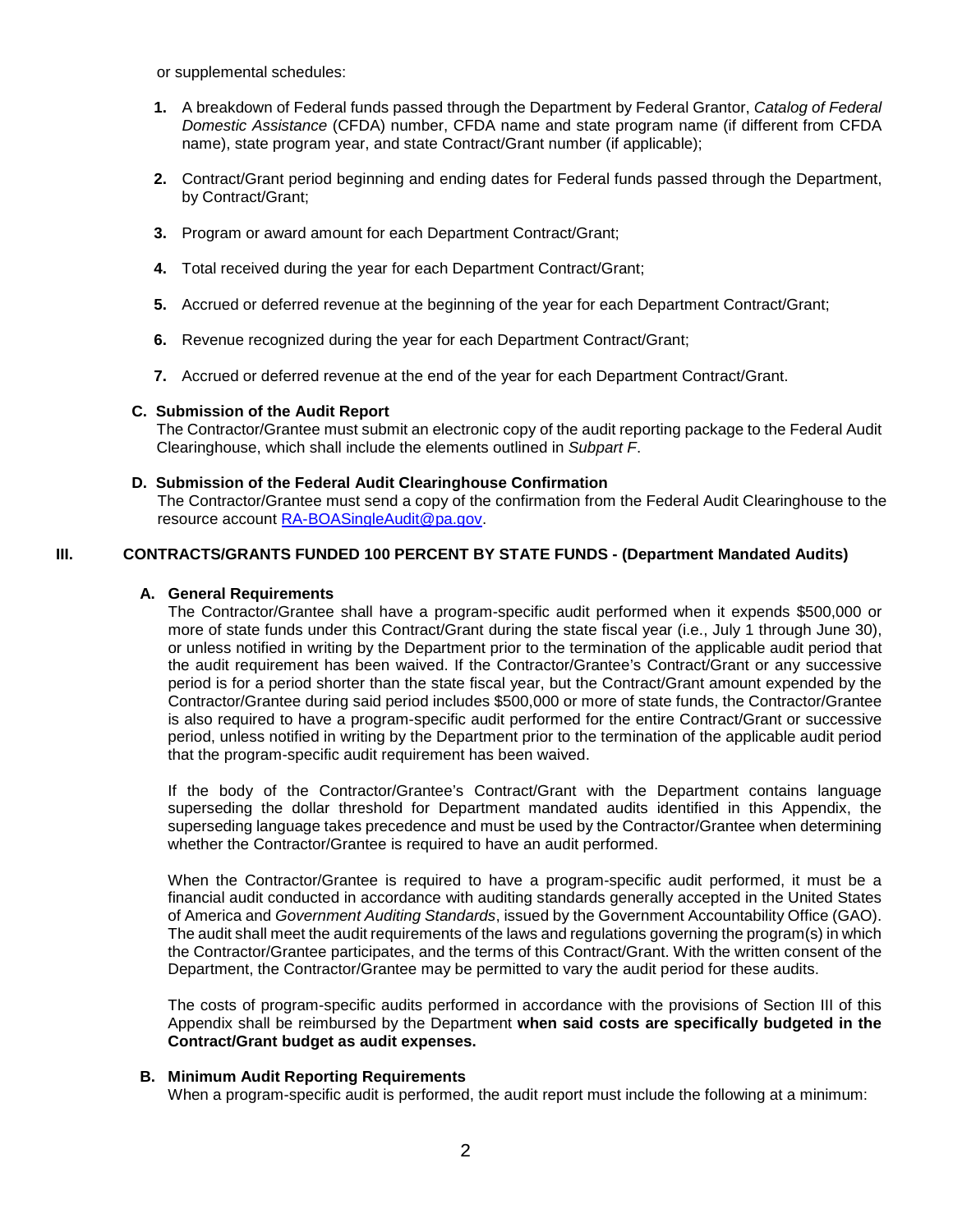or supplemental schedules:

- **1.** A breakdown of Federal funds passed through the Department by Federal Grantor, *Catalog of Federal Domestic Assistance* (CFDA) number, CFDA name and state program name (if different from CFDA name), state program year, and state Contract/Grant number (if applicable);
- **2.** Contract/Grant period beginning and ending dates for Federal funds passed through the Department, by Contract/Grant;
- **3.** Program or award amount for each Department Contract/Grant;
- **4.** Total received during the year for each Department Contract/Grant;
- **5.** Accrued or deferred revenue at the beginning of the year for each Department Contract/Grant;
- **6.** Revenue recognized during the year for each Department Contract/Grant;
- **7.** Accrued or deferred revenue at the end of the year for each Department Contract/Grant.

### **C. Submission of the Audit Report**

The Contractor/Grantee must submit an electronic copy of the audit reporting package to the Federal Audit Clearinghouse, which shall include the elements outlined in *Subpart F*.

### **D. Submission of the Federal Audit Clearinghouse Confirmation**

The Contractor/Grantee must send a copy of the confirmation from the Federal Audit Clearinghouse to the resource account [RA-BOASingleAudit@pa.gov.](mailto:RA-BOASingleAudit@pa.gov)

### **III. CONTRACTS/GRANTS FUNDED 100 PERCENT BY STATE FUNDS - (Department Mandated Audits)**

### **A. General Requirements**

The Contractor/Grantee shall have a program-specific audit performed when it expends \$500,000 or more of state funds under this Contract/Grant during the state fiscal year (i.e., July 1 through June 30), or unless notified in writing by the Department prior to the termination of the applicable audit period that the audit requirement has been waived. If the Contractor/Grantee's Contract/Grant or any successive period is for a period shorter than the state fiscal year, but the Contract/Grant amount expended by the Contractor/Grantee during said period includes \$500,000 or more of state funds, the Contractor/Grantee is also required to have a program-specific audit performed for the entire Contract/Grant or successive period, unless notified in writing by the Department prior to the termination of the applicable audit period that the program-specific audit requirement has been waived.

If the body of the Contractor/Grantee's Contract/Grant with the Department contains language superseding the dollar threshold for Department mandated audits identified in this Appendix, the superseding language takes precedence and must be used by the Contractor/Grantee when determining whether the Contractor/Grantee is required to have an audit performed.

When the Contractor/Grantee is required to have a program-specific audit performed, it must be a financial audit conducted in accordance with auditing standards generally accepted in the United States of America and *Government Auditing Standards*, issued by the Government Accountability Office (GAO). The audit shall meet the audit requirements of the laws and regulations governing the program(s) in which the Contractor/Grantee participates, and the terms of this Contract/Grant. With the written consent of the Department, the Contractor/Grantee may be permitted to vary the audit period for these audits.

The costs of program-specific audits performed in accordance with the provisions of Section III of this Appendix shall be reimbursed by the Department **when said costs are specifically budgeted in the Contract/Grant budget as audit expenses.**

### **B. Minimum Audit Reporting Requirements**

When a program-specific audit is performed, the audit report must include the following at a minimum: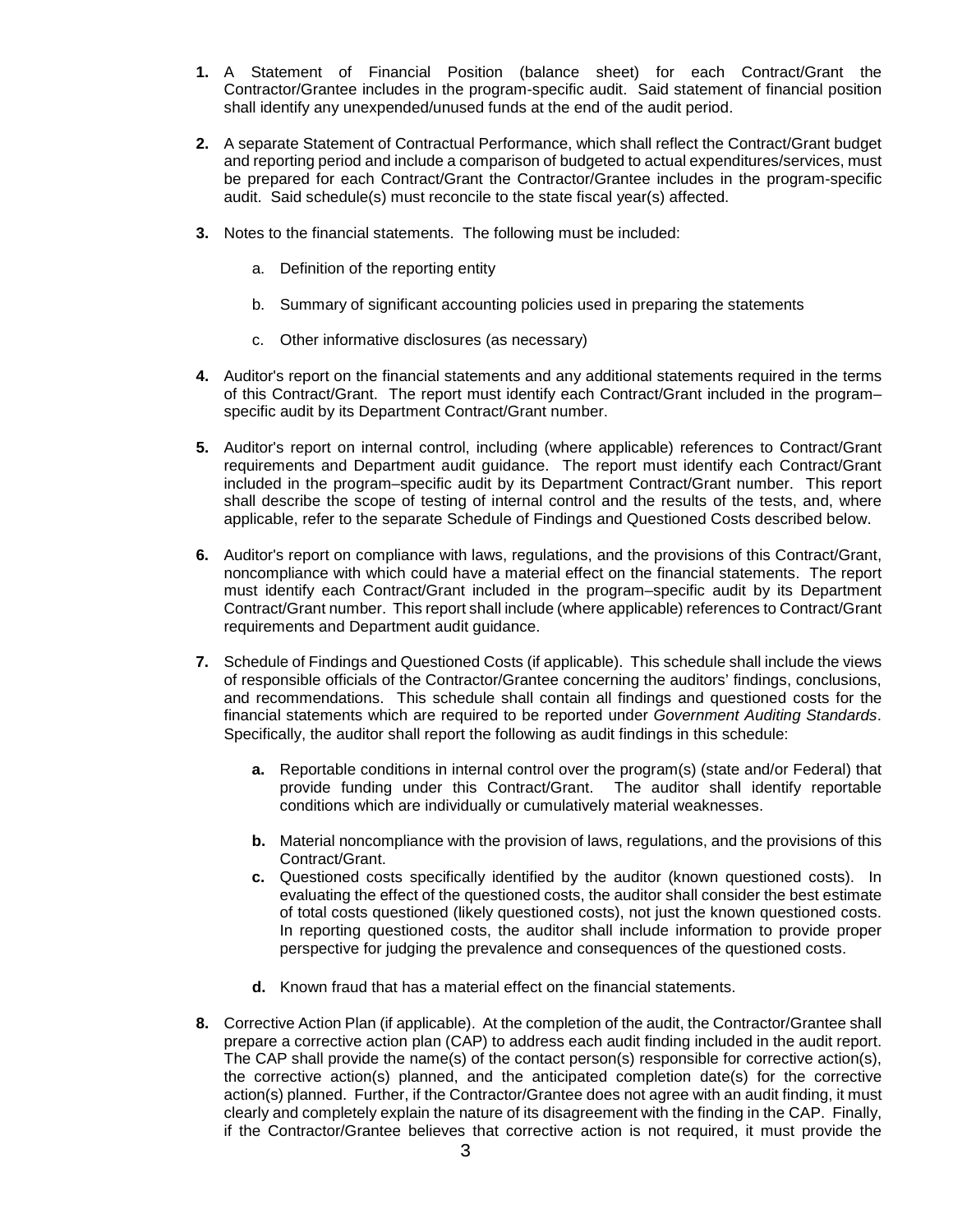- **1.** A Statement of Financial Position (balance sheet) for each Contract/Grant the Contractor/Grantee includes in the program-specific audit. Said statement of financial position shall identify any unexpended/unused funds at the end of the audit period.
- **2.** A separate Statement of Contractual Performance, which shall reflect the Contract/Grant budget and reporting period and include a comparison of budgeted to actual expenditures/services, must be prepared for each Contract/Grant the Contractor/Grantee includes in the program-specific audit. Said schedule(s) must reconcile to the state fiscal year(s) affected.
- **3.** Notes to the financial statements. The following must be included:
	- a. Definition of the reporting entity
	- b. Summary of significant accounting policies used in preparing the statements
	- c. Other informative disclosures (as necessary)
- **4.** Auditor's report on the financial statements and any additional statements required in the terms of this Contract/Grant. The report must identify each Contract/Grant included in the program– specific audit by its Department Contract/Grant number.
- **5.** Auditor's report on internal control, including (where applicable) references to Contract/Grant requirements and Department audit guidance. The report must identify each Contract/Grant included in the program–specific audit by its Department Contract/Grant number. This report shall describe the scope of testing of internal control and the results of the tests, and, where applicable, refer to the separate Schedule of Findings and Questioned Costs described below.
- **6.** Auditor's report on compliance with laws, regulations, and the provisions of this Contract/Grant, noncompliance with which could have a material effect on the financial statements. The report must identify each Contract/Grant included in the program–specific audit by its Department Contract/Grant number. This report shall include (where applicable) references to Contract/Grant requirements and Department audit guidance.
- **7.** Schedule of Findings and Questioned Costs (if applicable). This schedule shall include the views of responsible officials of the Contractor/Grantee concerning the auditors' findings, conclusions, and recommendations. This schedule shall contain all findings and questioned costs for the financial statements which are required to be reported under *Government Auditing Standards*. Specifically, the auditor shall report the following as audit findings in this schedule:
	- **a.** Reportable conditions in internal control over the program(s) (state and/or Federal) that provide funding under this Contract/Grant. The auditor shall identify reportable conditions which are individually or cumulatively material weaknesses.
	- **b.** Material noncompliance with the provision of laws, regulations, and the provisions of this Contract/Grant.
	- **c.** Questioned costs specifically identified by the auditor (known questioned costs). In evaluating the effect of the questioned costs, the auditor shall consider the best estimate of total costs questioned (likely questioned costs), not just the known questioned costs. In reporting questioned costs, the auditor shall include information to provide proper perspective for judging the prevalence and consequences of the questioned costs.
	- **d.** Known fraud that has a material effect on the financial statements.
- **8.** Corrective Action Plan (if applicable). At the completion of the audit, the Contractor/Grantee shall prepare a corrective action plan (CAP) to address each audit finding included in the audit report. The CAP shall provide the name(s) of the contact person(s) responsible for corrective action(s), the corrective action(s) planned, and the anticipated completion date(s) for the corrective action(s) planned. Further, if the Contractor/Grantee does not agree with an audit finding, it must clearly and completely explain the nature of its disagreement with the finding in the CAP. Finally, if the Contractor/Grantee believes that corrective action is not required, it must provide the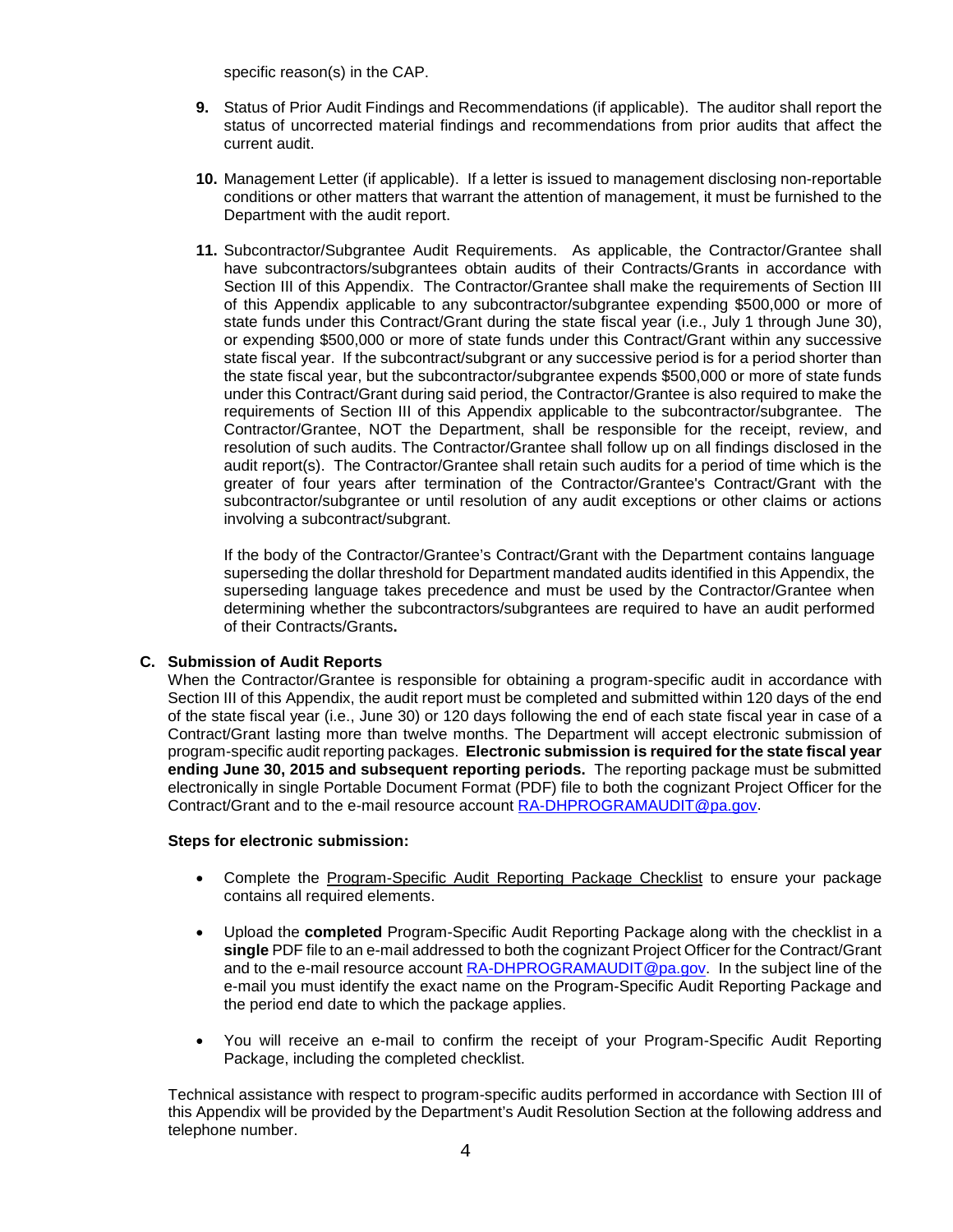specific reason(s) in the CAP.

- **9.** Status of Prior Audit Findings and Recommendations (if applicable). The auditor shall report the status of uncorrected material findings and recommendations from prior audits that affect the current audit.
- **10.** Management Letter (if applicable). If a letter is issued to management disclosing non-reportable conditions or other matters that warrant the attention of management, it must be furnished to the Department with the audit report.
- **11.** Subcontractor/Subgrantee Audit Requirements. As applicable, the Contractor/Grantee shall have subcontractors/subgrantees obtain audits of their Contracts/Grants in accordance with Section III of this Appendix. The Contractor/Grantee shall make the requirements of Section III of this Appendix applicable to any subcontractor/subgrantee expending \$500,000 or more of state funds under this Contract/Grant during the state fiscal year (i.e., July 1 through June 30), or expending \$500,000 or more of state funds under this Contract/Grant within any successive state fiscal year. If the subcontract/subgrant or any successive period is for a period shorter than the state fiscal year, but the subcontractor/subgrantee expends \$500,000 or more of state funds under this Contract/Grant during said period, the Contractor/Grantee is also required to make the requirements of Section III of this Appendix applicable to the subcontractor/subgrantee. The Contractor/Grantee, NOT the Department, shall be responsible for the receipt, review, and resolution of such audits. The Contractor/Grantee shall follow up on all findings disclosed in the audit report(s). The Contractor/Grantee shall retain such audits for a period of time which is the greater of four years after termination of the Contractor/Grantee's Contract/Grant with the subcontractor/subgrantee or until resolution of any audit exceptions or other claims or actions involving a subcontract/subgrant.

If the body of the Contractor/Grantee's Contract/Grant with the Department contains language superseding the dollar threshold for Department mandated audits identified in this Appendix, the superseding language takes precedence and must be used by the Contractor/Grantee when determining whether the subcontractors/subgrantees are required to have an audit performed of their Contracts/Grants**.**

### **C. Submission of Audit Reports**

When the Contractor/Grantee is responsible for obtaining a program-specific audit in accordance with Section III of this Appendix, the audit report must be completed and submitted within 120 days of the end of the state fiscal year (i.e., June 30) or 120 days following the end of each state fiscal year in case of a Contract/Grant lasting more than twelve months. The Department will accept electronic submission of program-specific audit reporting packages. **Electronic submission is required for the state fiscal year ending June 30, 2015 and subsequent reporting periods.** The reporting package must be submitted electronically in single Portable Document Format (PDF) file to both the cognizant Project Officer for the Contract/Grant and to the e-mail resource account [RA-DHPROGRAMAUDIT@pa.gov.](mailto:RA-DHPROGRAMAUDIT@pa.gov)

### **Steps for electronic submission:**

- Complete the Program-Specific Audit Reporting Package Checklist to ensure your package contains all required elements.
- Upload the **completed** Program-Specific Audit Reporting Package along with the checklist in a **single** PDF file to an e-mail addressed to both the cognizant Project Officer for the Contract/Grant and to the e-mail resource account [RA-DHPROGRAMAUDIT@pa.gov.](mailto:RA-DHPROGRAMAUDIT@pa.gov) In the subject line of the e-mail you must identify the exact name on the Program-Specific Audit Reporting Package and the period end date to which the package applies.
- You will receive an e-mail to confirm the receipt of your Program-Specific Audit Reporting Package, including the completed checklist.

Technical assistance with respect to program-specific audits performed in accordance with Section III of this Appendix will be provided by the Department's Audit Resolution Section at the following address and telephone number.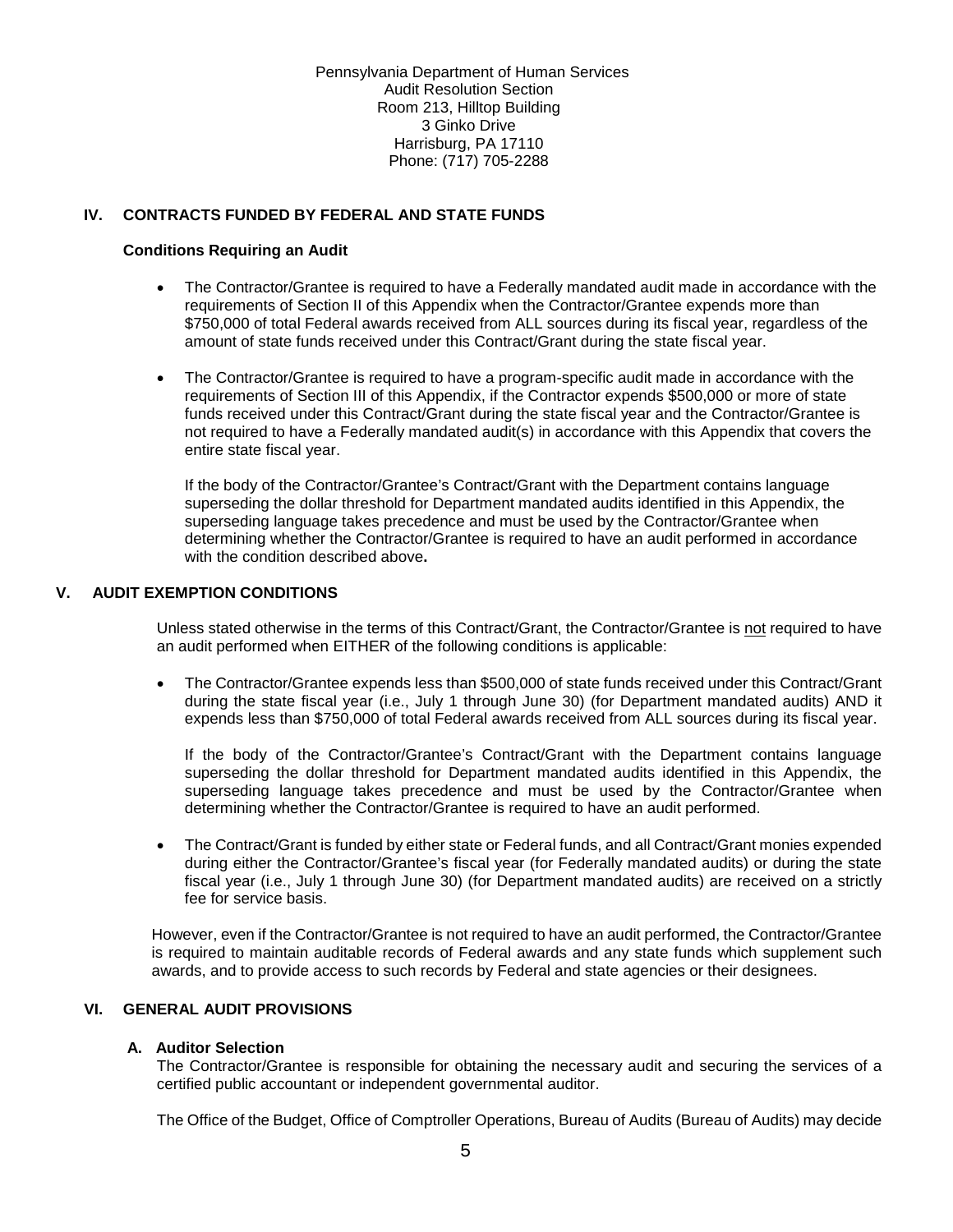Pennsylvania Department of Human Services Audit Resolution Section Room 213, Hilltop Building 3 Ginko Drive Harrisburg, PA 17110 Phone: (717) 705-2288

### **IV. CONTRACTS FUNDED BY FEDERAL AND STATE FUNDS**

### **Conditions Requiring an Audit**

- The Contractor/Grantee is required to have a Federally mandated audit made in accordance with the requirements of Section II of this Appendix when the Contractor/Grantee expends more than \$750,000 of total Federal awards received from ALL sources during its fiscal year, regardless of the amount of state funds received under this Contract/Grant during the state fiscal year.
- The Contractor/Grantee is required to have a program-specific audit made in accordance with the requirements of Section III of this Appendix, if the Contractor expends \$500,000 or more of state funds received under this Contract/Grant during the state fiscal year and the Contractor/Grantee is not required to have a Federally mandated audit(s) in accordance with this Appendix that covers the entire state fiscal year.

If the body of the Contractor/Grantee's Contract/Grant with the Department contains language superseding the dollar threshold for Department mandated audits identified in this Appendix, the superseding language takes precedence and must be used by the Contractor/Grantee when determining whether the Contractor/Grantee is required to have an audit performed in accordance with the condition described above**.**

### **V. AUDIT EXEMPTION CONDITIONS**

Unless stated otherwise in the terms of this Contract/Grant, the Contractor/Grantee is not required to have an audit performed when EITHER of the following conditions is applicable:

• The Contractor/Grantee expends less than \$500,000 of state funds received under this Contract/Grant during the state fiscal year (i.e., July 1 through June 30) (for Department mandated audits) AND it expends less than \$750,000 of total Federal awards received from ALL sources during its fiscal year.

If the body of the Contractor/Grantee's Contract/Grant with the Department contains language superseding the dollar threshold for Department mandated audits identified in this Appendix, the superseding language takes precedence and must be used by the Contractor/Grantee when determining whether the Contractor/Grantee is required to have an audit performed.

• The Contract/Grant is funded by either state or Federal funds, and all Contract/Grant monies expended during either the Contractor/Grantee's fiscal year (for Federally mandated audits) or during the state fiscal year (i.e., July 1 through June 30) (for Department mandated audits) are received on a strictly fee for service basis.

However, even if the Contractor/Grantee is not required to have an audit performed, the Contractor/Grantee is required to maintain auditable records of Federal awards and any state funds which supplement such awards, and to provide access to such records by Federal and state agencies or their designees.

# **VI. GENERAL AUDIT PROVISIONS**

### **A. Auditor Selection**

The Contractor/Grantee is responsible for obtaining the necessary audit and securing the services of a certified public accountant or independent governmental auditor.

The Office of the Budget, Office of Comptroller Operations, Bureau of Audits (Bureau of Audits) may decide